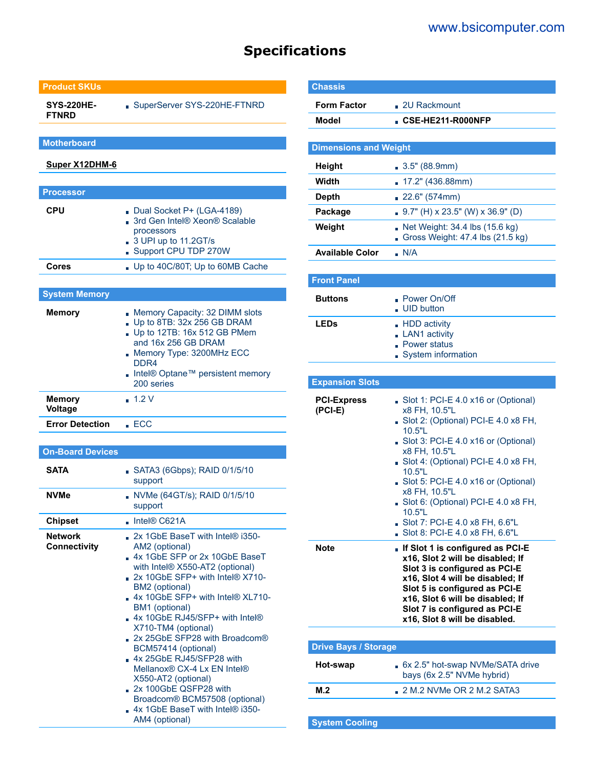# **Specifications**

### **Product SKUs**

**SYS-220HE-FTNRD** SuperServer SYS-220HE-FTNRD

**Motherboard**

**[Super X12DHM-6](https://www.supermicro.com/en/products/motherboard/X12DHM-6)**

| <b>Processor</b> |                                                                                                                                 |
|------------------|---------------------------------------------------------------------------------------------------------------------------------|
| <b>CPU</b>       | Dual Socket P+ (LGA-4189)<br>3rd Gen Intel® Xeon® Scalable<br>processors<br>$\Box$ 3 UPI up to 11.2GT/s<br>Support CPU TDP 270W |
| Cores            | Up to 40C/80T; Up to 60MB Cache                                                                                                 |

## **System Memory**

| <b>Memory</b>                   | Memory Capacity: 32 DIMM slots<br>Up to 8TB: $32x 256$ GB DRAM<br>$\Box$ Up to 12TB: 16x 512 GB PMem<br>and 16x 256 GB DRAM<br>Memory Type: 3200MHz ECC<br>DDR <sub>4</sub><br>Intel <sup>®</sup> Optane <sup>™</sup> persistent memory<br>200 series |
|---------------------------------|-------------------------------------------------------------------------------------------------------------------------------------------------------------------------------------------------------------------------------------------------------|
| <b>Memory</b><br><b>Voltage</b> | $-1.2V$                                                                                                                                                                                                                                               |
| <b>Error Detection</b>          | E C C                                                                                                                                                                                                                                                 |

#### **On-Board Devices**

| <b>SATA</b>                           | SATA3 (6Gbps); RAID 0/1/5/10<br>support                                                                                                                                                                                                                                                                                                                                                                                                                                                                                                                                                    |
|---------------------------------------|--------------------------------------------------------------------------------------------------------------------------------------------------------------------------------------------------------------------------------------------------------------------------------------------------------------------------------------------------------------------------------------------------------------------------------------------------------------------------------------------------------------------------------------------------------------------------------------------|
| <b>NVMe</b>                           | NVMe (64GT/s); RAID 0/1/5/10<br>support                                                                                                                                                                                                                                                                                                                                                                                                                                                                                                                                                    |
| <b>Chipset</b>                        | $\blacksquare$ Intel® C621A                                                                                                                                                                                                                                                                                                                                                                                                                                                                                                                                                                |
| <b>Network</b><br><b>Connectivity</b> | 2x 1GbE BaseT with Intel® i350-<br>AM2 (optional)<br>.4x 1GbE SFP or 2x 10GbE BaseT<br>with Intel <sup>®</sup> $X550$ -AT2 (optional)<br>$\sim$ 2x 10GbF SFP+ with Intel® X710-<br>BM2 (optional)<br>$\Box$ 4x 10GbE SFP+ with Intel® XL710-<br>BM1 (optional)<br>4x 10GbE RJ45/SFP+ with Intel®<br>X710-TM4 (optional)<br>$\sim$ 2x 25GbF SFP28 with Broadcom®<br>BCM57414 (optional)<br>$4x$ 25GbE RJ45/SFP28 with<br>Mellanox® CX-4 I x FN Intel®<br>X550-AT2 (optional)<br>2x 100GbE QSFP28 with<br>Broadcom® BCM57508 (optional)<br>4x 1GbE BaseT with Intel® i350-<br>AM4 (optional) |

| <b>Chassis</b>                |                                                                                                                                                                                                                                                                                                                                                                                             |  |  |  |
|-------------------------------|---------------------------------------------------------------------------------------------------------------------------------------------------------------------------------------------------------------------------------------------------------------------------------------------------------------------------------------------------------------------------------------------|--|--|--|
| <b>Form Factor</b>            | $\Box$ 2U Rackmount                                                                                                                                                                                                                                                                                                                                                                         |  |  |  |
| Model                         | CSE-HE211-R000NFP                                                                                                                                                                                                                                                                                                                                                                           |  |  |  |
| <b>Dimensions and Weight</b>  |                                                                                                                                                                                                                                                                                                                                                                                             |  |  |  |
| <b>Height</b>                 | $\Box$ 3.5" (88.9mm)                                                                                                                                                                                                                                                                                                                                                                        |  |  |  |
| Width                         | 17.2" (436.88mm)<br>m.                                                                                                                                                                                                                                                                                                                                                                      |  |  |  |
| <b>Depth</b>                  | 22.6" (574mm)                                                                                                                                                                                                                                                                                                                                                                               |  |  |  |
| Package                       | $9.7"$ (H) x 23.5" (W) x 36.9" (D)                                                                                                                                                                                                                                                                                                                                                          |  |  |  |
| Weight                        | Net Weight: 34.4 lbs (15.6 kg)<br>Gross Weight: 47.4 lbs (21.5 kg)                                                                                                                                                                                                                                                                                                                          |  |  |  |
| <b>Available Color</b>        | N/A                                                                                                                                                                                                                                                                                                                                                                                         |  |  |  |
|                               |                                                                                                                                                                                                                                                                                                                                                                                             |  |  |  |
| <b>Front Panel</b>            |                                                                                                                                                                                                                                                                                                                                                                                             |  |  |  |
| <b>Buttons</b>                | ▪ Power On/Off<br><b>UID button</b>                                                                                                                                                                                                                                                                                                                                                         |  |  |  |
| <b>LEDs</b>                   | HDD activity<br>LAN1 activity<br>Power status<br>System information                                                                                                                                                                                                                                                                                                                         |  |  |  |
|                               |                                                                                                                                                                                                                                                                                                                                                                                             |  |  |  |
| <b>Expansion Slots</b>        |                                                                                                                                                                                                                                                                                                                                                                                             |  |  |  |
| <b>PCI-Express</b><br>(PCI-E) | Slot 1: PCI-E 4.0 x16 or (Optional)<br>x8 FH, 10.5"L<br>Slot 2: (Optional) PCI-E 4.0 x8 FH,<br>10.5"L<br>Slot 3: PCI-E 4.0 x16 or (Optional)<br>x8 FH, 10.5"L<br>Slot 4: (Optional) PCI-E 4.0 x8 FH,<br>10.5"L<br>Slot 5: PCI-E 4.0 x16 or (Optional)<br>x8 FH, 10.5"L<br>Slot 6: (Optional) PCI-E 4.0 x8 FH,<br>10.5"L<br>Slot 7: PCI-E 4.0 x8 FH, 6.6"L<br>Slot 8: PCI-E 4.0 x8 FH, 6.6"L |  |  |  |
| Note                          | . If Slot 1 is configured as PCI-E<br>x16, Slot 2 will be disabled; If<br>Slot 3 is configured as PCI-E<br>x16, Slot 4 will be disabled; If<br>Slot 5 is configured as PCI-E<br>x16, Slot 6 will be disabled; If<br>Slot 7 is configured as PCI-E<br>x16, Slot 8 will be disabled.                                                                                                          |  |  |  |
| <b>Drive Bays / Storage</b>   |                                                                                                                                                                                                                                                                                                                                                                                             |  |  |  |
| Hot-swap                      | 6x 2.5" hot-swap NVMe/SATA drive<br>bays (6x 2.5" NVMe hybrid)                                                                                                                                                                                                                                                                                                                              |  |  |  |
|                               |                                                                                                                                                                                                                                                                                                                                                                                             |  |  |  |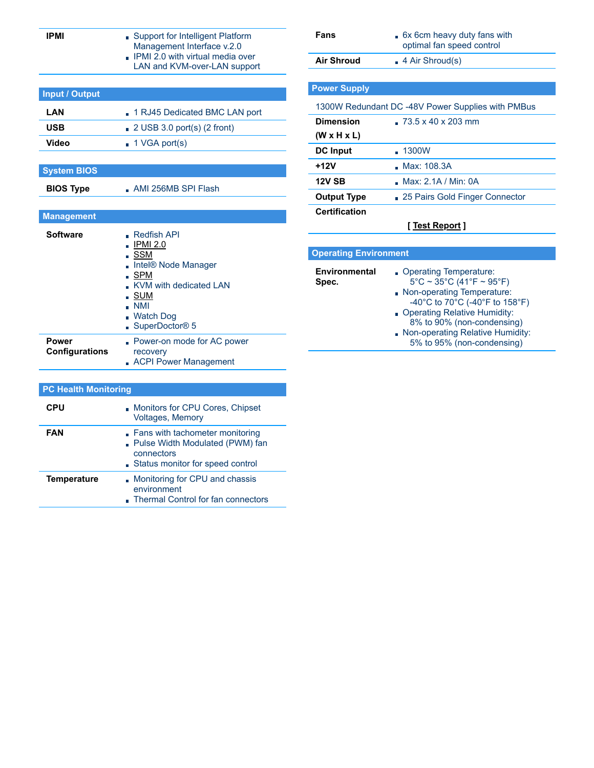| <b>IPMI</b>                           | Support for Intelligent Platform<br>Management Interface v.2.0<br>IPMI 2.0 with virtual media over                                                                                                 | Fans<br><b>Air Shroud</b>                                  |
|---------------------------------------|----------------------------------------------------------------------------------------------------------------------------------------------------------------------------------------------------|------------------------------------------------------------|
|                                       | LAN and KVM-over-LAN support                                                                                                                                                                       |                                                            |
|                                       |                                                                                                                                                                                                    | <b>Power Supply</b>                                        |
| <b>Input / Output</b>                 |                                                                                                                                                                                                    |                                                            |
| LAN                                   | 1 RJ45 Dedicated BMC LAN port                                                                                                                                                                      | 1300W Redundant                                            |
| <b>USB</b>                            | $\Box$ 2 USB 3.0 port(s) (2 front)                                                                                                                                                                 | <b>Dimension</b>                                           |
| <b>Video</b>                          | $\blacksquare$ 1 VGA port(s)                                                                                                                                                                       | $(W \times H \times L)$                                    |
|                                       |                                                                                                                                                                                                    | <b>DC</b> Input                                            |
| <b>System BIOS</b>                    |                                                                                                                                                                                                    | $+12V$                                                     |
| <b>BIOS Type</b>                      | AMI 256MB SPI Flash                                                                                                                                                                                | <b>12V SB</b>                                              |
|                                       |                                                                                                                                                                                                    | <b>Output Type</b>                                         |
| <b>Management</b>                     |                                                                                                                                                                                                    | <b>Certification</b>                                       |
| <b>Software</b>                       | <b>Redfish API</b><br><b>IPMI 2.0</b><br>$\overline{\phantom{a}}$ SSM<br>Intel® Node Manager<br>SPM<br>KVM with dedicated LAN<br>∎ SUM<br>$\blacksquare$ NMI<br><b>Watch Dog</b><br>SuperDoctor® 5 | <b>Operating Environn</b><br><b>Environmental</b><br>Spec. |
| <b>Power</b><br><b>Configurations</b> | Power-on mode for AC power<br>recovery<br><b>ACPI Power Management</b>                                                                                                                             |                                                            |
| <b>PC Health Monitoring</b>           |                                                                                                                                                                                                    |                                                            |
| <b>CPU</b>                            | Monitors for CPU Cores, Chipset<br>Voltages, Memory                                                                                                                                                |                                                            |
| <b>FAN</b>                            | Fans with tachometer monitoring<br>Pulse Width Modulated (PWM) fan<br>connectors<br>Status monitor for speed control                                                                               |                                                            |
| <b>Temperature</b>                    | Monitoring for CPU and chassis<br>environment<br>Thermal Control for fan connectors                                                                                                                |                                                            |

| Fans                          | 6x 6cm heavy duty fans with<br>optimal fan speed control                                                                                                                                                                                                       |  |  |  |
|-------------------------------|----------------------------------------------------------------------------------------------------------------------------------------------------------------------------------------------------------------------------------------------------------------|--|--|--|
| <b>Air Shroud</b>             | $\blacksquare$ 4 Air Shroud(s)                                                                                                                                                                                                                                 |  |  |  |
|                               |                                                                                                                                                                                                                                                                |  |  |  |
| <b>Power Supply</b>           |                                                                                                                                                                                                                                                                |  |  |  |
|                               | 1300W Redundant DC -48V Power Supplies with PMBus                                                                                                                                                                                                              |  |  |  |
| <b>Dimension</b>              | $-73.5 \times 40 \times 203$ mm                                                                                                                                                                                                                                |  |  |  |
| $(W \times H \times L)$       |                                                                                                                                                                                                                                                                |  |  |  |
| <b>DC</b> Input               | 1300W                                                                                                                                                                                                                                                          |  |  |  |
| $+12V$                        | <b>Max: 108.3A</b>                                                                                                                                                                                                                                             |  |  |  |
| <b>12V SB</b>                 | Max: 2.1A / Min: 0A                                                                                                                                                                                                                                            |  |  |  |
| <b>Output Type</b>            | 25 Pairs Gold Finger Connector                                                                                                                                                                                                                                 |  |  |  |
| <b>Certification</b>          |                                                                                                                                                                                                                                                                |  |  |  |
|                               | <u>[ Test Report</u> ]                                                                                                                                                                                                                                         |  |  |  |
|                               |                                                                                                                                                                                                                                                                |  |  |  |
| <b>Operating Environment</b>  |                                                                                                                                                                                                                                                                |  |  |  |
| <b>Environmental</b><br>Spec. | Operating Temperature:<br>$5^{\circ}$ C ~ 35 $^{\circ}$ C (41 $^{\circ}$ F ~ 95 $^{\circ}$ F)<br>Non-operating Temperature:<br>-40°C to 70°C (-40°F to 158°F)<br>Operating Relative Humidity:<br>8% to 90% (non-condensing)<br>Non anorating Delative Humidity |  |  |  |

Non-operating Relative Humidity: 5% to 95% (non-condensing)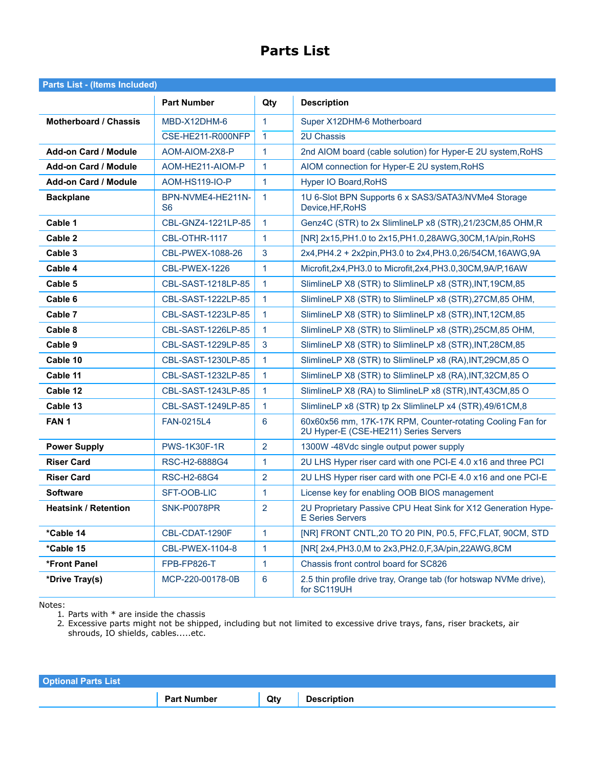## **Parts List**

| <b>Parts List - (Items Included)</b> |                         |                      |                                                                                                     |
|--------------------------------------|-------------------------|----------------------|-----------------------------------------------------------------------------------------------------|
|                                      | <b>Part Number</b>      | Qty                  | <b>Description</b>                                                                                  |
| Motherboard / Chassis                | MBD-X12DHM-6            | $\mathbf{1}$         | Super X12DHM-6 Motherboard                                                                          |
|                                      | CSE-HE211-R000NFP       | $\mathbf{1}$         | 2U Chassis                                                                                          |
| <b>Add-on Card / Module</b>          | AOM-AIOM-2X8-P          | 1                    | 2nd AIOM board (cable solution) for Hyper-E 2U system, RoHS                                         |
| <b>Add-on Card / Module</b>          | AOM-HE211-AIOM-P        | $\mathbf{1}$         | AIOM connection for Hyper-E 2U system, RoHS                                                         |
| <b>Add-on Card / Module</b>          | <b>AOM-HS119-IO-P</b>   | 1                    | Hyper IO Board, RoHS                                                                                |
| <b>Backplane</b>                     | BPN-NVME4-HE211N-<br>S6 | $\blacktriangleleft$ | 1U 6-Slot BPN Supports 6 x SAS3/SATA3/NVMe4 Storage<br>Device, HF, RoHS                             |
| Cable 1                              | CBL-GNZ4-1221LP-85      | $\overline{1}$       | Genz4C (STR) to 2x SlimlineLP x8 (STR), 21/23CM, 85 OHM, R                                          |
| Cable 2                              | CBL-OTHR-1117           | $\mathbf{1}$         | [NR] 2x15, PH1.0 to 2x15, PH1.0, 28AWG, 30CM, 1A/pin, RoHS                                          |
| Cable 3                              | CBL-PWEX-1088-26        | 3                    | 2x4, PH4.2 + 2x2pin, PH3.0 to 2x4, PH3.0, 26/54 CM, 16AWG, 9A                                       |
| Cable 4                              | CBL-PWEX-1226           | $\mathbf{1}$         | Microfit, 2x4, PH3.0 to Microfit, 2x4, PH3.0, 30CM, 9A/P, 16AW                                      |
| Cable 5                              | CBL-SAST-1218LP-85      | $\mathbf{1}$         | SlimlineLP X8 (STR) to SlimlineLP x8 (STR), INT, 19CM, 85                                           |
| Cable 6                              | CBL-SAST-1222LP-85      | $\mathbf{1}$         | SlimlineLP X8 (STR) to SlimlineLP x8 (STR), 27CM, 85 OHM,                                           |
| Cable 7                              | CBL-SAST-1223LP-85      | 1                    | SlimlineLP X8 (STR) to SlimlineLP x8 (STR), INT, 12CM, 85                                           |
| Cable 8                              | CBL-SAST-1226LP-85      | $\mathbf{1}$         | SlimlineLP X8 (STR) to SlimlineLP x8 (STR), 25CM, 85 OHM,                                           |
| Cable 9                              | CBL-SAST-1229LP-85      | 3                    | SlimlineLP X8 (STR) to SlimlineLP x8 (STR), INT, 28CM, 85                                           |
| Cable 10                             | CBL-SAST-1230LP-85      | 1                    | SlimlineLP X8 (STR) to SlimlineLP x8 (RA), INT, 29CM, 85 O                                          |
| Cable 11                             | CBL-SAST-1232LP-85      | $\mathbf{1}$         | SlimlineLP X8 (STR) to SlimlineLP x8 (RA), INT, 32CM, 85 O                                          |
| Cable 12                             | CBL-SAST-1243LP-85      | $\mathbf{1}$         | SlimlineLP X8 (RA) to SlimlineLP x8 (STR), INT, 43CM, 85 O                                          |
| Cable 13                             | CBL-SAST-1249LP-85      | $\mathbf{1}$         | SlimlineLP x8 (STR) tp 2x SlimlineLP x4 (STR),49/61CM,8                                             |
| FAN <sub>1</sub>                     | FAN-0215L4              | 6                    | 60x60x56 mm, 17K-17K RPM, Counter-rotating Cooling Fan for<br>2U Hyper-E (CSE-HE211) Series Servers |
| <b>Power Supply</b>                  | <b>PWS-1K30F-1R</b>     | $\overline{2}$       | 1300W -48Vdc single output power supply                                                             |
| <b>Riser Card</b>                    | RSC-H2-6888G4           | 1                    | 2U LHS Hyper riser card with one PCI-E 4.0 x16 and three PCI                                        |
| <b>Riser Card</b>                    | <b>RSC-H2-68G4</b>      | $\overline{2}$       | 2U LHS Hyper riser card with one PCI-E 4.0 x16 and one PCI-E                                        |
| <b>Software</b>                      | SFT-OOB-LIC             | $\mathbf{1}$         | License key for enabling OOB BIOS management                                                        |
| <b>Heatsink / Retention</b>          | SNK-P0078PR             | $\overline{2}$       | 2U Proprietary Passive CPU Heat Sink for X12 Generation Hype-<br><b>E</b> Series Servers            |
| *Cable 14                            | CBL-CDAT-1290F          | 1                    | [NR] FRONT CNTL, 20 TO 20 PIN, P0.5, FFC, FLAT, 90CM, STD                                           |
| *Cable 15                            | CBL-PWEX-1104-8         | $\mathbf{1}$         | [NR] 2x4, PH3.0, M to 2x3, PH2.0, F, 3A/pin, 22AWG, 8CM                                             |
| *Front Panel                         | FPB-FP826-T             | $\mathbf{1}$         | Chassis front control board for SC826                                                               |
| *Drive Tray(s)                       | MCP-220-00178-0B        | $\bf 6$              | 2.5 thin profile drive tray, Orange tab (for hotswap NVMe drive),<br>for SC119UH                    |

Notes:

1. Parts with \* are inside the chassis

2. Excessive parts might not be shipped, including but not limited to excessive drive trays, fans, riser brackets, air shrouds, IO shields, cables.....etc.

| <b>Optional Parts List</b> |                    |     |                    |
|----------------------------|--------------------|-----|--------------------|
|                            | <b>Part Number</b> | Qty | <b>Description</b> |